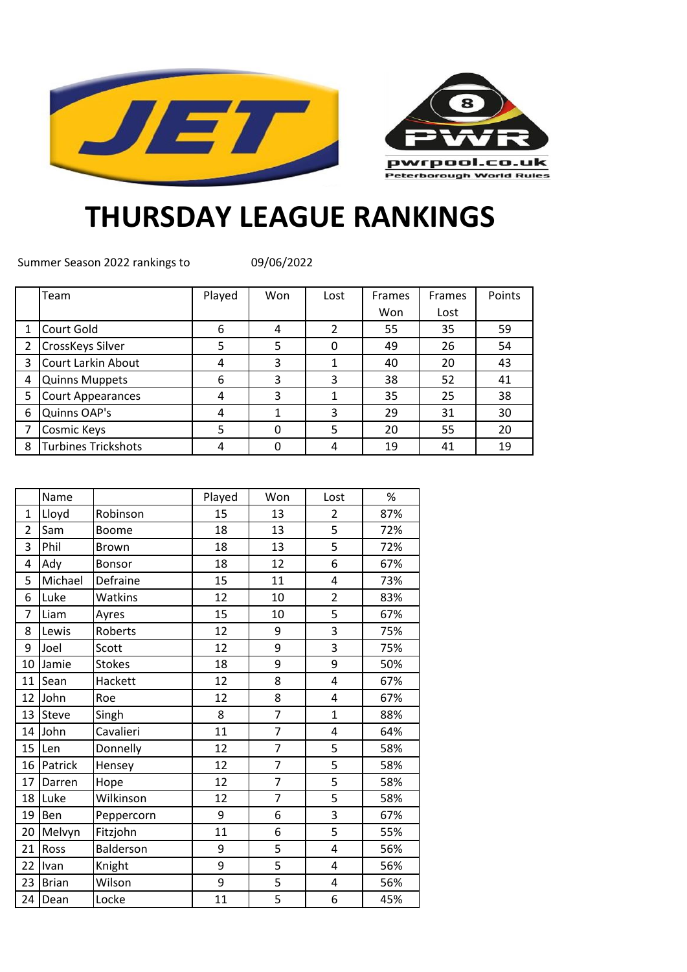



## **THURSDAY LEAGUE RANKINGS**

Summer Season 2022 rankings to

09/06/2022

|                | Team                       | Played | Won | Lost           | Frames | <b>Frames</b> | Points |
|----------------|----------------------------|--------|-----|----------------|--------|---------------|--------|
|                |                            |        |     |                | Won    | Lost          |        |
| 1              | Court Gold                 | 6      | 4   | $\overline{2}$ | 55     | 35            | 59     |
| $\overline{2}$ | <b>CrossKeys Silver</b>    | 5      | 5   | 0              | 49     | 26            | 54     |
| 3              | Court Larkin About         | 4      | 3   |                | 40     | 20            | 43     |
| 4              | Quinns Muppets             | 6      | 3   | 3              | 38     | 52            | 41     |
| 5              | Court Appearances          | 4      | 3   |                | 35     | 25            | 38     |
| 6              | Quinns OAP's               | 4      |     | 3              | 29     | 31            | 30     |
| 7              | Cosmic Keys                | 5      | 0   | 5              | 20     | 55            | 20     |
| 8              | <b>Turbines Trickshots</b> | 4      | 0   | 4              | 19     | 41            | 19     |

|                | Name         |               | Played | Won            | Lost                    | $\%$ |
|----------------|--------------|---------------|--------|----------------|-------------------------|------|
| $\overline{1}$ | Lloyd        | Robinson      | 15     | 13             | $\overline{2}$          | 87%  |
| $\overline{2}$ | Sam          | <b>Boome</b>  | 18     | 13             | 5                       | 72%  |
| 3              | Phil         | <b>Brown</b>  | 18     | 13             | 5                       | 72%  |
| 4              | Ady          | Bonsor        | 18     | 12             | 6                       | 67%  |
| 5              | Michael      | Defraine      | 15     | 11             | $\overline{\mathbf{4}}$ | 73%  |
| 6              | Luke         | Watkins       | 12     | 10             | $\overline{2}$          | 83%  |
| 7              | Liam         | Ayres         | 15     | 10             | 5                       | 67%  |
| 8              | Lewis        | Roberts       | 12     | 9              | 3                       | 75%  |
| 9              | Joel         | Scott         | 12     | 9              | 3                       | 75%  |
| 10             | Jamie        | <b>Stokes</b> | 18     | 9              | 9                       | 50%  |
| 11             | Sean         | Hackett       | 12     | 8              | 4                       | 67%  |
| 12             | John         | Roe           | 12     | 8              | $\overline{\mathbf{4}}$ | 67%  |
| 13             | Steve        | Singh         | 8      | $\overline{7}$ | $\mathbf{1}$            | 88%  |
| 14             | John         | Cavalieri     | 11     | $\overline{7}$ | $\overline{\mathbf{4}}$ | 64%  |
| 15             | Len          | Donnelly      | 12     | $\overline{7}$ | 5                       | 58%  |
| 16             | Patrick      | Hensey        | 12     | $\overline{7}$ | 5                       | 58%  |
| 17             | Darren       | Hope          | 12     | 7              | 5                       | 58%  |
| 18             | Luke         | Wilkinson     | 12     | 7              | 5                       | 58%  |
| 19             | Ben          | Peppercorn    | 9      | 6              | 3                       | 67%  |
| 20             | Melvyn       | Fitzjohn      | 11     | 6              | 5                       | 55%  |
| 21             | Ross         | Balderson     | 9      | 5              | 4                       | 56%  |
| 22             | Ivan         | Knight        | 9      | 5              | 4                       | 56%  |
| 23             | <b>Brian</b> | Wilson        | 9      | 5              | 4                       | 56%  |
| 24             | Dean         | Locke         | 11     | 5              | 6                       | 45%  |